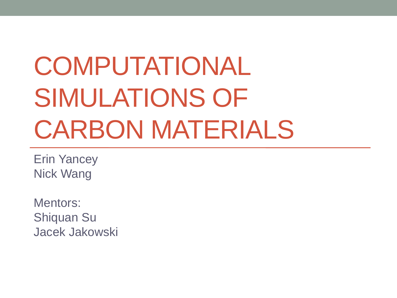# COMPUTATIONAL SIMULATIONS OF CARBON MATERIALS

Erin Yancey Nick Wang

Mentors: Shiquan Su Jacek Jakowski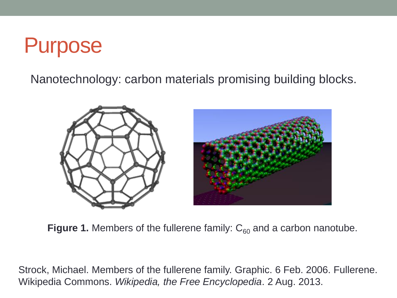#### Purpose

Nanotechnology: carbon materials promising building blocks.



**Figure 1.** Members of the fullerene family:  $C_{60}$  and a carbon nanotube.

Strock, Michael. Members of the fullerene family. Graphic. 6 Feb. 2006. Fullerene. Wikipedia Commons. *Wikipedia, the Free Encyclopedia*. 2 Aug. 2013.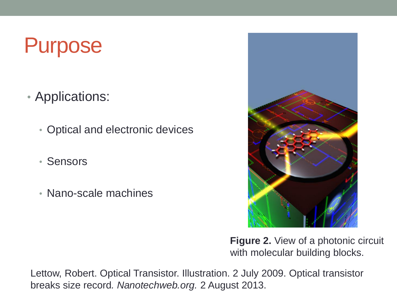#### Purpose

- Applications:
	- Optical and electronic devices
	- Sensors
	- Nano-scale machines



**Figure 2.** View of a photonic circuit with molecular building blocks.

Lettow, Robert. Optical Transistor. Illustration. 2 July 2009. Optical transistor breaks size record*. Nanotechweb.org.* 2 August 2013.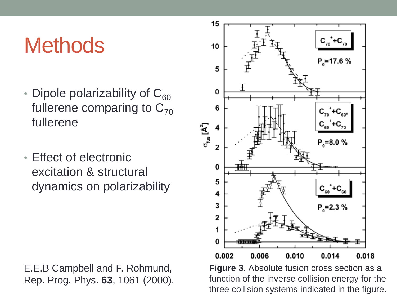#### **Methods**

- Dipole polarizability of  $C_{60}$ fullerene comparing to  $C_{70}$ fullerene
- Effect of electronic excitation & structural dynamics on polarizability

E.E.B Campbell and F. Rohmund, Rep. Prog. Phys. **63**, 1061 (2000).



**Figure 3.** Absolute fusion cross section as a function of the inverse collision energy for the three collision systems indicated in the figure.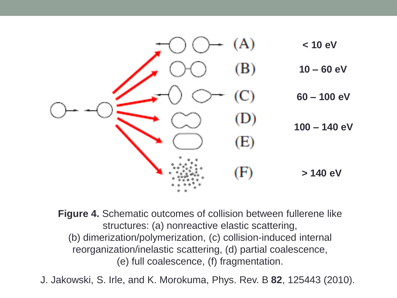

**Figure 4.** Schematic outcomes of collision between fullerene like structures: (a) nonreactive elastic scattering, (b) dimerization/polymerization, (c) collision-induced internal reorganization/inelastic scattering, (d) partial coalescence, (e) full coalescence, (f) fragmentation.

J. Jakowski, S. Irle, and K. Morokuma, Phys. Rev. B **82**, 125443 (2010).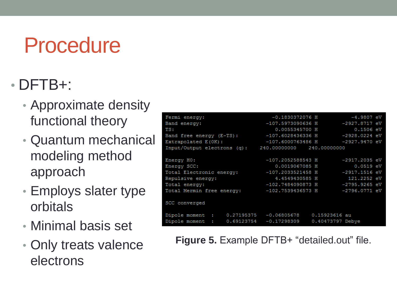### Procedure

#### • DFTB+:

- Approximate density functional theory
- Quantum mechanical modeling method approach
- Employs slater type orbitals
- Minimal basis set
- Only treats valence electrons

| Fermi energy:<br>Band energy:    | $-0.1830372076$ H<br>$-107.5973090636$ H | $-4.9807$ eV<br>-2927.8717 eV |
|----------------------------------|------------------------------------------|-------------------------------|
| TS:                              | 0.0055345700 H                           | $0.1506$ eV                   |
| Band free energy (E-TS):         | -107.6028436336 H                        | -2928.0224 eV                 |
| Extrapolated $E(0K)$ :           | $-107.6000763486$ H                      | $-2927.9470$ eV               |
| Input/Output electrons (q):      | 240,00000000 240,00000000                |                               |
|                                  |                                          |                               |
| Energy HO:                       | $-107.2052588543$ H                      | $-2917.2035$ eV               |
| Energy SCC:                      | 0.0019067085 H                           | $0.0519$ eV                   |
| Total Electronic energy:         | $-107.2033521458$ H                      | $-2917.1516$ eV               |
| Repulsive energy:                | 4.4549430585 H                           | 121.2252 eV                   |
| Total energy:                    | -102.7484090873 H                        | -2795.9265 eV                 |
| Total Mermin free energy:        | $-102.7539436573$ H                      | $-2796.0771$ eV               |
| SCC converged                    |                                          |                               |
| Dipole moment :<br>0.27195375    | $-0.06805678$                            | 0.15923616 au                 |
| 0.69123754<br>Dipole moment<br>÷ | $-0.17298309$                            | 0.40473797 Debye              |

**Figure 5.** Example DFTB+ "detailed.out" file.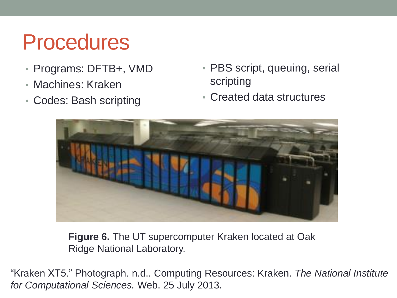### Procedures

- Programs: DFTB+, VMD
- Machines: Kraken
- Codes: Bash scripting
- PBS script, queuing, serial scripting
- Created data structures



**Figure 6.** The UT supercomputer Kraken located at Oak Ridge National Laboratory.

"Kraken XT5." Photograph. n.d.. Computing Resources: Kraken. *The National Institute for Computational Sciences.* Web. 25 July 2013.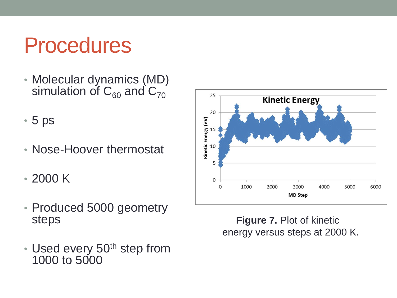### Procedures

- Molecular dynamics (MD) simulation of  $C_{60}$  and  $C_{70}$
- 5 ps
- Nose-Hoover thermostat
- 2000 K
- Produced 5000 geometry steps
- Used every 50<sup>th</sup> step from 1000 to 5000



**Figure 7. Plot of kinetic** energy versus steps at 2000 K.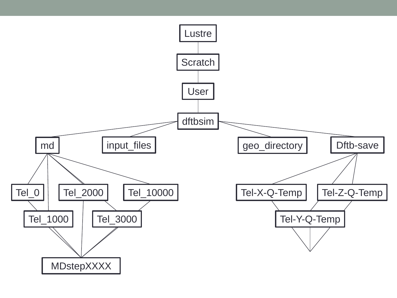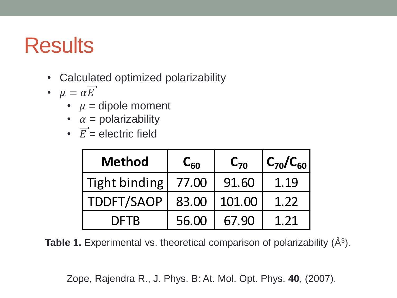- Calculated optimized polarizability
- $\mu = \alpha \overrightarrow{E}$ 
	- $\mu$  = dipole moment
	- $\alpha$  = polarizability
	- $\vec{E}$  = electric field

| <b>Method</b> | $C_{60}$ | $C_{70}$ | $C_{70}/C_{60}$ |
|---------------|----------|----------|-----------------|
| Tight binding | 77.00    | 91.60    | 1.19            |
| TDDFT/SAOP    | 83.00    | 101.00   | 1.22            |
| <b>DFTB</b>   | 56.00    | 67.90    | 1.21            |

**Table 1.** Experimental vs. theoretical comparison of polarizability (Å<sup>3</sup>).

Zope, Rajendra R., J. Phys. B: At. Mol. Opt. Phys. **40**, (2007).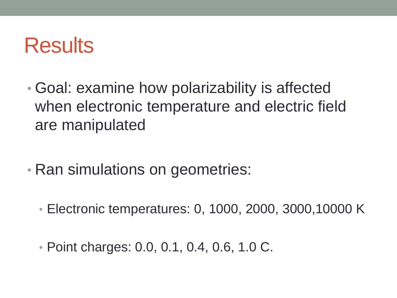- Goal: examine how polarizability is affected when electronic temperature and electric field are manipulated
- Ran simulations on geometries:
	- Electronic temperatures: 0, 1000, 2000, 3000,10000 K
	- Point charges: 0.0, 0.1, 0.4, 0.6, 1.0 C.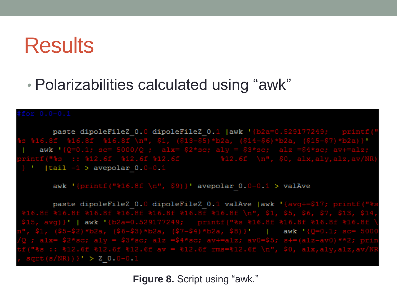• Polarizabilities calculated using "awk"

paste dipoleFileZ 0.0 dipoleFileZ 0.1 |awk '{b2a=0 awk '  $\lceil \text{tail} \rceil - 1$  > avepolar  $0.0 - 0.1$ 

awk '{printf("\\$16.8f \n",  $$9)$ }' avepolar\_0.0-0.1 > valAve

paste dipoleFileZ 0.0 dipoleFileZ 0.1 valAve | awk '{avg+= awk awk  $(s/NR))$   $\rightarrow$  Z\_0.0-0.1

**Figure 8.** Script using "awk."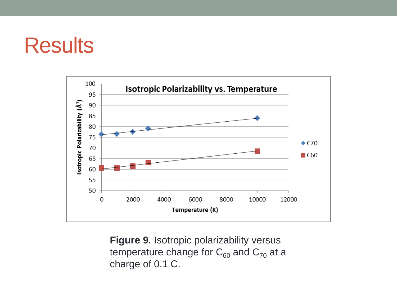

**Figure 9.** Isotropic polarizability versus temperature change for  $C_{60}$  and  $C_{70}$  at a charge of 0.1 C.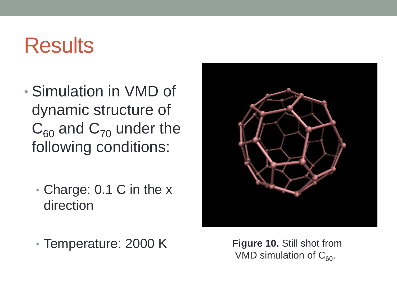- Simulation in VMD of dynamic structure of  $C_{60}$  and  $C_{70}$  under the following conditions:
	- Charge: 0.1 C in the x direction
	- Temperature: 2000 K **Figure 10.** Still shot from

VMD simulation of  $C_{60}$ .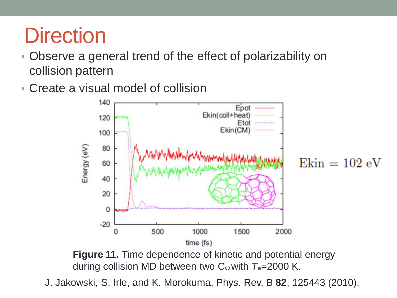## **Direction**

- Observe a general trend of the effect of polarizability on collision pattern
- Create a visual model of collision



**Figure 11.** Time dependence of kinetic and potential energy during collision MD between two C<sub>60</sub> with  $T_e$ =2000 K.

J. Jakowski, S. Irle, and K. Morokuma, Phys. Rev. B **82**, 125443 (2010).